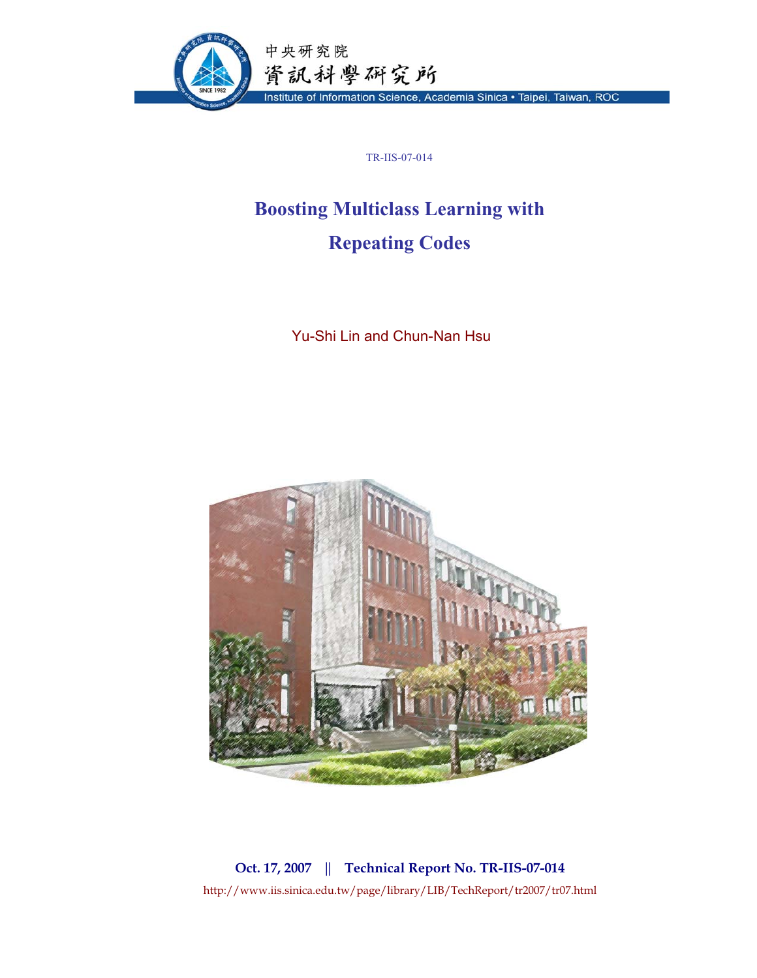

TR-IIS-07-014

# **Boosting Multiclass Learning with Repeating Codes**

Yu-Shi Lin and Chun-Nan Hsu



**Oct. 17, 2007 || Technical Report No. TR-IIS-07-014**  http://www.iis.sinica.edu.tw/page/library/LIB/TechReport/tr2007/tr07.html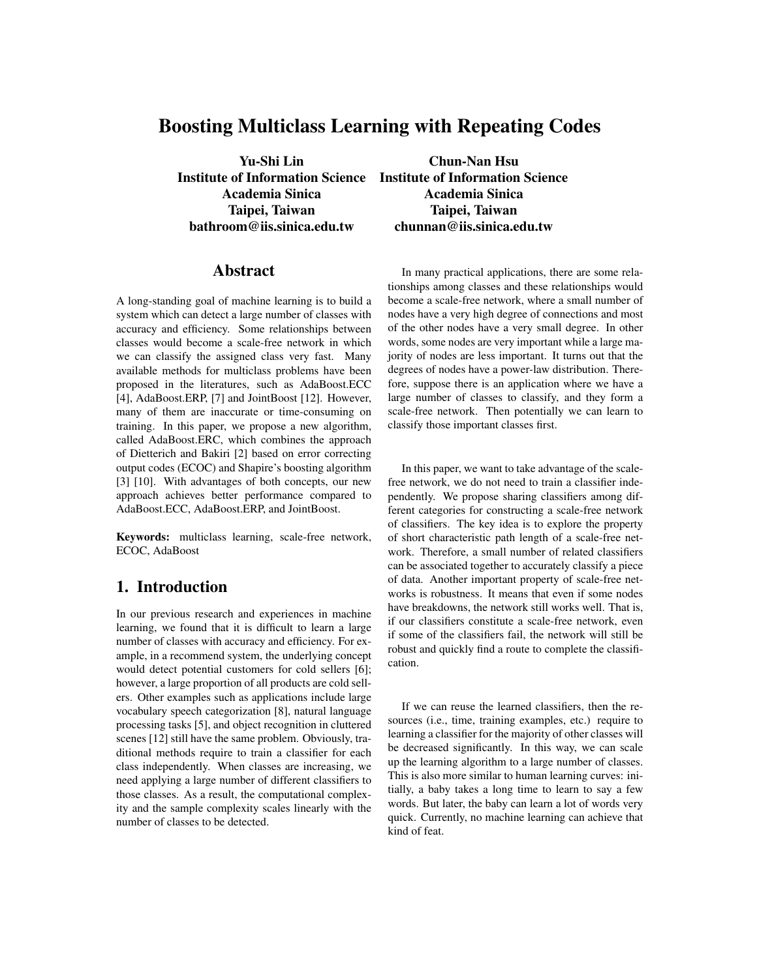# Boosting Multiclass Learning with Repeating Codes

Yu-Shi Lin Chun-Nan Hsu Institute of Information Science Institute of Information Science Academia Sinica Academia Sinica Taipei, Taiwan Taipei, Taiwan bathroom@iis.sinica.edu.tw chunnan@iis.sinica.edu.tw

#### Abstract

A long-standing goal of machine learning is to build a system which can detect a large number of classes with accuracy and efficiency. Some relationships between classes would become a scale-free network in which we can classify the assigned class very fast. Many available methods for multiclass problems have been proposed in the literatures, such as AdaBoost.ECC [4], AdaBoost.ERP, [7] and JointBoost [12]. However, many of them are inaccurate or time-consuming on training. In this paper, we propose a new algorithm, called AdaBoost.ERC, which combines the approach of Dietterich and Bakiri [2] based on error correcting output codes (ECOC) and Shapire's boosting algorithm [3] [10]. With advantages of both concepts, our new approach achieves better performance compared to AdaBoost.ECC, AdaBoost.ERP, and JointBoost.

Keywords: multiclass learning, scale-free network, ECOC, AdaBoost

## 1. Introduction

In our previous research and experiences in machine learning, we found that it is difficult to learn a large number of classes with accuracy and efficiency. For example, in a recommend system, the underlying concept would detect potential customers for cold sellers [6]; however, a large proportion of all products are cold sellers. Other examples such as applications include large vocabulary speech categorization [8], natural language processing tasks [5], and object recognition in cluttered scenes [12] still have the same problem. Obviously, traditional methods require to train a classifier for each class independently. When classes are increasing, we need applying a large number of different classifiers to those classes. As a result, the computational complexity and the sample complexity scales linearly with the number of classes to be detected.

In many practical applications, there are some relationships among classes and these relationships would become a scale-free network, where a small number of nodes have a very high degree of connections and most of the other nodes have a very small degree. In other words, some nodes are very important while a large majority of nodes are less important. It turns out that the degrees of nodes have a power-law distribution. Therefore, suppose there is an application where we have a large number of classes to classify, and they form a scale-free network. Then potentially we can learn to classify those important classes first.

In this paper, we want to take advantage of the scalefree network, we do not need to train a classifier independently. We propose sharing classifiers among different categories for constructing a scale-free network of classifiers. The key idea is to explore the property of short characteristic path length of a scale-free network. Therefore, a small number of related classifiers can be associated together to accurately classify a piece of data. Another important property of scale-free networks is robustness. It means that even if some nodes have breakdowns, the network still works well. That is, if our classifiers constitute a scale-free network, even if some of the classifiers fail, the network will still be robust and quickly find a route to complete the classification.

If we can reuse the learned classifiers, then the resources (i.e., time, training examples, etc.) require to learning a classifier for the majority of other classes will be decreased significantly. In this way, we can scale up the learning algorithm to a large number of classes. This is also more similar to human learning curves: initially, a baby takes a long time to learn to say a few words. But later, the baby can learn a lot of words very quick. Currently, no machine learning can achieve that kind of feat.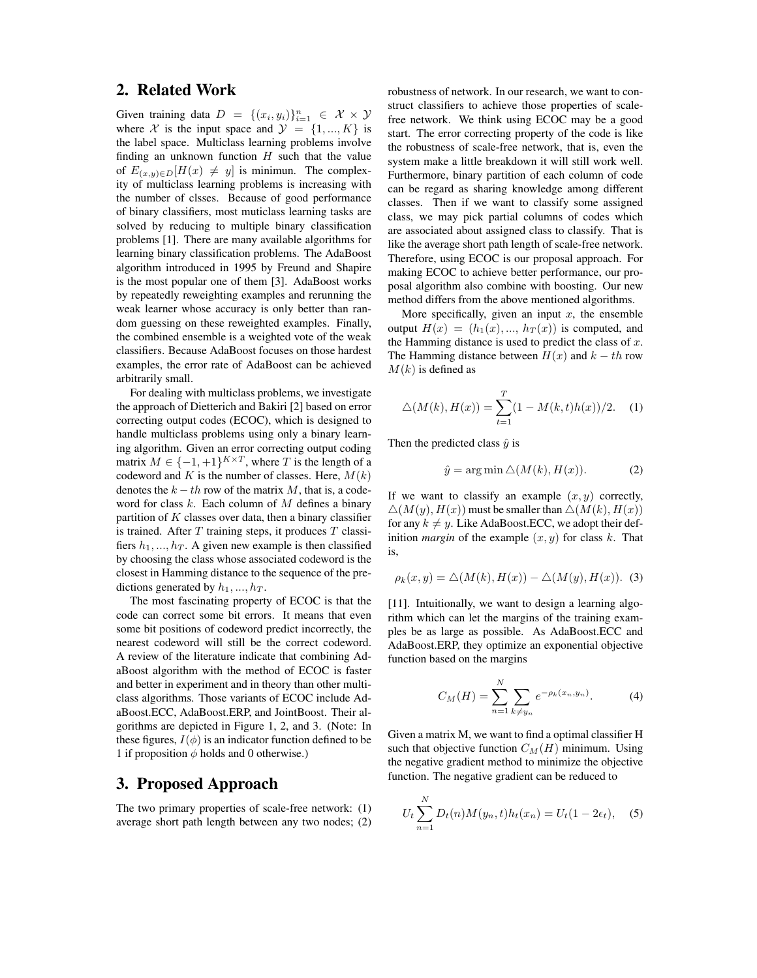#### 2. Related Work

Given training data  $D = \{(x_i, y_i)\}_{i=1}^n \in \mathcal{X} \times \mathcal{Y}$ <br>where X is the input space and  $\mathcal{Y} = \{1, K\}$  is where X is the input space and  $\mathcal{Y} = \{1, ..., K\}$  is the label space. Multiclass learning problems involve finding an unknown function  $H$  such that the value of  $E_{(x,y)\in D}[H(x) \neq y]$  is minimun. The complexity of multiclass learning problems is increasing with the number of clsses. Because of good performance of binary classifiers, most muticlass learning tasks are solved by reducing to multiple binary classification problems [1]. There are many available algorithms for learning binary classification problems. The AdaBoost algorithm introduced in 1995 by Freund and Shapire is the most popular one of them [3]. AdaBoost works by repeatedly reweighting examples and rerunning the weak learner whose accuracy is only better than random guessing on these reweighted examples. Finally, the combined ensemble is a weighted vote of the weak classifiers. Because AdaBoost focuses on those hardest examples, the error rate of AdaBoost can be achieved arbitrarily small.

For dealing with multiclass problems, we investigate the approach of Dietterich and Bakiri [2] based on error correcting output codes (ECOC), which is designed to handle multiclass problems using only a binary learning algorithm. Given an error correcting output coding matrix  $M \in \{-1, +1\}^{K \times T}$ , where T is the length of a codeword and K is the number of classes. Here,  $M(k)$ denotes the  $k - th$  row of the matrix M, that is, a codeword for class  $k$ . Each column of  $M$  defines a binary partition of  $K$  classes over data, then a binary classifier is trained. After  $T$  training steps, it produces  $T$  classifiers  $h_1, ..., h_T$ . A given new example is then classified by choosing the class whose associated codeword is the closest in Hamming distance to the sequence of the predictions generated by  $h_1, ..., h_T$ .

The most fascinating property of ECOC is that the code can correct some bit errors. It means that even some bit positions of codeword predict incorrectly, the nearest codeword will still be the correct codeword. A review of the literature indicate that combining AdaBoost algorithm with the method of ECOC is faster and better in experiment and in theory than other multiclass algorithms. Those variants of ECOC include AdaBoost.ECC, AdaBoost.ERP, and JointBoost. Their algorithms are depicted in Figure 1, 2, and 3. (Note: In these figures,  $I(\phi)$  is an indicator function defined to be 1 if proposition  $\phi$  holds and 0 otherwise.)

#### 3. Proposed Approach

The two primary properties of scale-free network: (1) average short path length between any two nodes; (2)

robustness of network. In our research, we want to construct classifiers to achieve those properties of scalefree network. We think using ECOC may be a good start. The error correcting property of the code is like the robustness of scale-free network, that is, even the system make a little breakdown it will still work well. Furthermore, binary partition of each column of code can be regard as sharing knowledge among different classes. Then if we want to classify some assigned class, we may pick partial columns of codes which are associated about assigned class to classify. That is like the average short path length of scale-free network. Therefore, using ECOC is our proposal approach. For making ECOC to achieve better performance, our proposal algorithm also combine with boosting. Our new method differs from the above mentioned algorithms.

More specifically, given an input  $x$ , the ensemble output  $H(x)=(h_1(x),..., h_T(x))$  is computed, and the Hamming distance is used to predict the class of  $x$ . The Hamming distance between  $H(x)$  and  $k - th$  row  $M(k)$  is defined as

$$
\triangle(M(k), H(x)) = \sum_{t=1}^{T} (1 - M(k, t)h(x))/2.
$$
 (1)

Then the predicted class  $\hat{y}$  is

$$
\hat{y} = \arg\min \triangle (M(k), H(x)).
$$
 (2)

If we want to classify an example  $(x, y)$  correctly,  $\Delta(M(y), H(x))$  must be smaller than  $\Delta(M(k), H(x))$ for any  $k \neq y$ . Like AdaBoost.ECC, we adopt their definition *margin* of the example  $(x, y)$  for class k. That is,

$$
\rho_k(x, y) = \triangle(M(k), H(x)) - \triangle(M(y), H(x)). \tag{3}
$$

[11]. Intuitionally, we want to design a learning algorithm which can let the margins of the training examples be as large as possible. As AdaBoost.ECC and AdaBoost.ERP, they optimize an exponential objective function based on the margins

$$
C_M(H) = \sum_{n=1}^{N} \sum_{k \neq y_n} e^{-\rho_k(x_n, y_n)}.
$$
 (4)

Given a matrix M, we want to find a optimal classifier H such that objective function  $C_M(H)$  minimum. Using the negative gradient method to minimize the objective function. The negative gradient can be reduced to

$$
U_t \sum_{n=1}^{N} D_t(n) M(y_n, t) h_t(x_n) = U_t(1 - 2\epsilon_t), \quad (5)
$$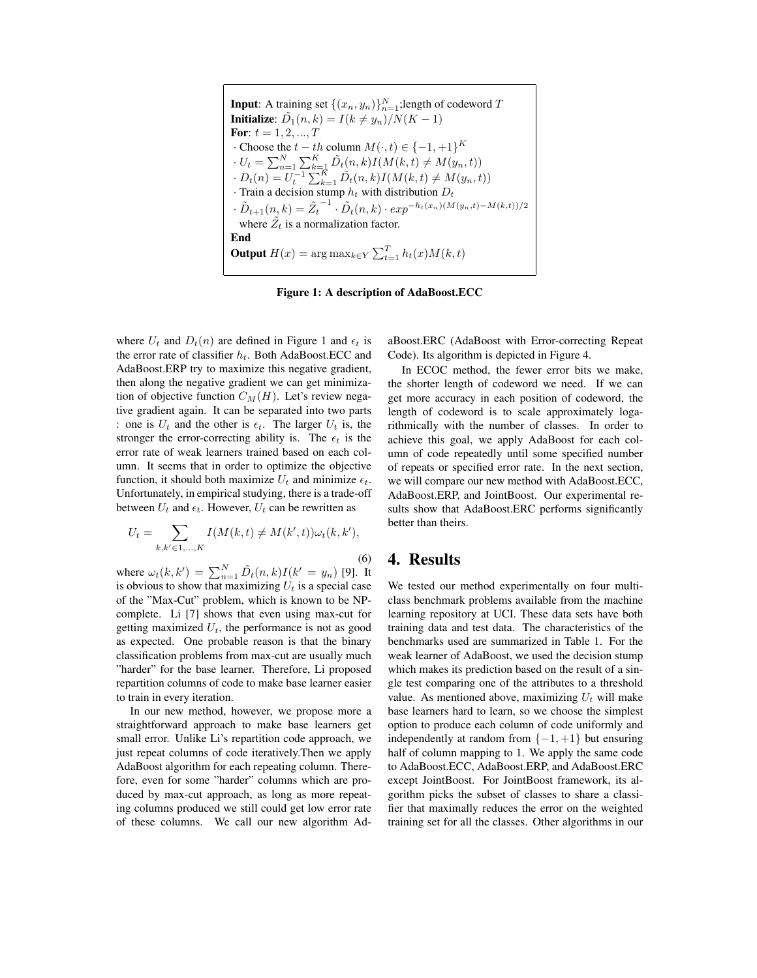| <b>Input:</b> A training set $\{(x_n, y_n)\}_{n=1}^N$ ; length of codeword T                              |
|-----------------------------------------------------------------------------------------------------------|
| <b>Initialize:</b> $\tilde{D}_1(n,k) = I(k \neq y_n)/N(K-1)$                                              |
| <b>For:</b> $t = 1, 2, , T$                                                                               |
| $\cdot$ Choose the $t - th$ column $M(\cdot, t) \in \{-1, +1\}^K$                                         |
| $U_t = \sum_{n=1}^{N} \sum_{k=1}^{K} \tilde{D}_t(n,k) I(M(k,t) \neq M(y_n,t))$                            |
| $D_t(n) = U_t^{-1} \sum_{k=1}^K \tilde{D}_t(n,k) I(M(k,t) \neq M(y_n,t))$                                 |
| Train a decision stump $h_t$ with distribution $D_t$                                                      |
| $\tilde{D}_{t+1}(n,k) = \tilde{Z}_t^{-1} \cdot \tilde{D}_t(n,k) \cdot exp^{-h_t(x_n)(M(y_n,t)-M(k,t))/2}$ |
| where $Z_t$ is a normalization factor.                                                                    |
| End                                                                                                       |
| <b>Output</b> $H(x) = \arg \max_{k \in Y} \sum_{t=1}^{T} h_t(x) M(k, t)$                                  |
|                                                                                                           |

Figure 1: A description of AdaBoost.ECC

where  $U_t$  and  $D_t(n)$  are defined in Figure 1 and  $\epsilon_t$  is the error rate of classifier  $h_t$ . Both AdaBoost.ECC and AdaBoost.ERP try to maximize this negative gradient, then along the negative gradient we can get minimization of objective function  $C_M(H)$ . Let's review negative gradient again. It can be separated into two parts : one is  $U_t$  and the other is  $\epsilon_t$ . The larger  $U_t$  is, the stronger the error-correcting ability is. The  $\epsilon_t$  is the error rate of weak learners trained based on each column. It seems that in order to optimize the objective function, it should both maximize  $U_t$  and minimize  $\epsilon_t$ . Unfortunately, in empirical studying, there is a trade-off between  $U_t$  and  $\epsilon_t$ . However,  $U_t$  can be rewritten as

$$
U_t = \sum_{k,k' \in 1,...,K} I(M(k,t) \neq M(k',t)) \omega_t(k,k'),
$$
\n(6)

where  $\omega_t(k, k') = \sum_{n=1}^{N} \tilde{D}_t(n, k) I(k' = y_n)$  [9]. It is obvious to show that maximizing *II*, is a special case is obvious to show that maximizing  $U_t$  is a special case of the "Max-Cut" problem, which is known to be NPcomplete. Li [7] shows that even using max-cut for getting maximized  $U_t$ , the performance is not as good as expected. One probable reason is that the binary classification problems from max-cut are usually much "harder" for the base learner. Therefore, Li proposed repartition columns of code to make base learner easier to train in every iteration.

In our new method, however, we propose more a straightforward approach to make base learners get small error. Unlike Li's repartition code approach, we just repeat columns of code iteratively. Then we apply AdaBoost algorithm for each repeating column. Therefore, even for some "harder" columns which are produced by max-cut approach, as long as more repeating columns produced we still could get low error rate of these columns. We call our new algorithm Ad-

aBoost.ERC (AdaBoost with Error-correcting Repeat Code). Its algorithm is depicted in Figure 4.

In ECOC method, the fewer error bits we make, the shorter length of codeword we need. If we can get more accuracy in each position of codeword, the length of codeword is to scale approximately logarithmically with the number of classes. In order to achieve this goal, we apply AdaBoost for each column of code repeatedly until some specified number of repeats or specified error rate. In the next section, we will compare our new method with AdaBoost.ECC, AdaBoost.ERP, and JointBoost. Our experimental results show that AdaBoost.ERC performs significantly better than theirs.

### 4. Results

We tested our method experimentally on four multiclass benchmark problems available from the machine learning repository at UCI. These data sets have both training data and test data. The characteristics of the benchmarks used are summarized in Table 1. For the weak learner of AdaBoost, we used the decision stump which makes its prediction based on the result of a single test comparing one of the attributes to a threshold value. As mentioned above, maximizing  $U_t$  will make base learners hard to learn, so we choose the simplest option to produce each column of code uniformly and independently at random from  $\{-1, +1\}$  but ensuring half of column mapping to 1. We apply the same code to AdaBoost.ECC, AdaBoost.ERP, and AdaBoost.ERC except JointBoost. For JointBoost framework, its algorithm picks the subset of classes to share a classifier that maximally reduces the error on the weighted training set for all the classes. Other algorithms in our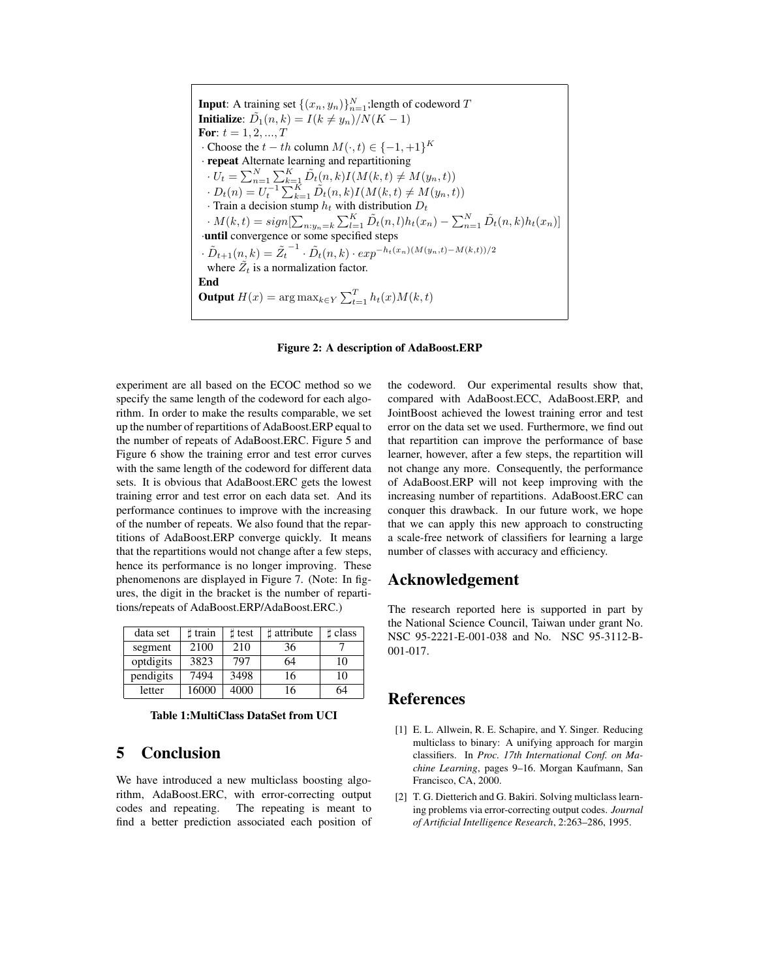**Input:** A training set  $\{(x_n, y_n)\}_{n=1}^N$ ; length of codeword  $T$ <br>**Initialize:**  $\tilde{D}_k(x, k) = I(k \neq x_k) / N(K-1)$ **Initialize:**  $\tilde{D}_1(n, k) = I(k \neq y_n)/N(K - 1)$ For:  $t = 1, 2, ..., T$  $\cdot$  Choose the  $t - th$  column  $M(\cdot, t) \in \{-1, +1\}^K$ · repeat Alternate learning and repartitioning  $\cdot U_t = \sum_{n=1}^{N} \sum_{k=1}^{K} \tilde{D}_t(n,k) I(M(k,t) \neq M(y_n,t))$  $\cdot D_t(n) = U_t^{-1} \sum_{k=1}^K \tilde{D}_t(n,k) I(M(k,t) \neq M(y_n,t))$ <br>  $\cdot$  Train a decision stump *h*, with distribution *D*. · Train a decision stump  $h_t$  with distribution  $D_t$ <br> $M(h, t) = \text{sign}[\sum_{k=1}^{K} \tilde{D}_{k}(x_k)]_h$  $M(k, t) = sign[\sum_{n:y_n=k} \sum_{l=1}^{K} \tilde{D}_t(n, l)h_t(x_n) - \sum_{n=1}^{N} \tilde{D}_t(n, k)h_t(x_n)]$ <br> **until** convergence or some specified steps  $\cdot \tilde{D}_{t+1}(n, k) = \tilde{Z}_t^{-1} \cdot \tilde{D}_t(n, k) \cdot exp^{-h_t(x_n)(M(y_n, t) - M(k, t))/2}$ where  $\tilde{Z}_t$  is a normalization factor. End **Output**  $H(x) = \arg \max_{k \in Y} \sum_{t=1}^{T} h_t(x) M(k, t)$ 



experiment are all based on the ECOC method so we specify the same length of the codeword for each algorithm. In order to make the results comparable, we set up the number of repartitions of AdaBoost.ERP equal to the number of repeats of AdaBoost.ERC. Figure 5 and Figure 6 show the training error and test error curves with the same length of the codeword for different data sets. It is obvious that AdaBoost.ERC gets the lowest training error and test error on each data set. And its performance continues to improve with the increasing of the number of repeats. We also found that the repartitions of AdaBoost.ERP converge quickly. It means that the repartitions would not change after a few steps, hence its performance is no longer improving. These phenomenons are displayed in Figure 7. (Note: In figures, the digit in the bracket is the number of repartitions/repeats of AdaBoost.ERP/AdaBoost.ERC.)

| data set  | t train | $\sharp$ test | attribute | t class |
|-----------|---------|---------------|-----------|---------|
| segment   | 2100    | 210           | 36        |         |
| optdigits | 3823    | 797           | 64        | 10      |
| pendigits | 7494    | 3498          | 16        | 10      |
| letter    | 16000   | 4000          | 16        | 64      |

Table 1:MultiClass DataSet from UCI

# 5 Conclusion

We have introduced a new multiclass boosting algorithm, AdaBoost.ERC, with error-correcting output codes and repeating. The repeating is meant to find a better prediction associated each position of the codeword. Our experimental results show that, compared with AdaBoost.ECC, AdaBoost.ERP, and JointBoost achieved the lowest training error and test error on the data set we used. Furthermore, we find out that repartition can improve the performance of base learner, however, after a few steps, the repartition will not change any more. Consequently, the performance of AdaBoost.ERP will not keep improving with the increasing number of repartitions. AdaBoost.ERC can conquer this drawback. In our future work, we hope that we can apply this new approach to constructing a scale-free network of classifiers for learning a large number of classes with accuracy and efficiency.

#### Acknowledgement

The research reported here is supported in part by the National Science Council, Taiwan under grant No. NSC 95-2221-E-001-038 and No. NSC 95-3112-B-001-017.

#### References

- [1] E. L. Allwein, R. E. Schapire, and Y. Singer. Reducing multiclass to binary: A unifying approach for margin classifiers. In *Proc. 17th International Conf. on Machine Learning*, pages 9–16. Morgan Kaufmann, San Francisco, CA, 2000.
- [2] T. G. Dietterich and G. Bakiri. Solving multiclass learning problems via error-correcting output codes. *Journal of Artificial Intelligence Research*, 2:263–286, 1995.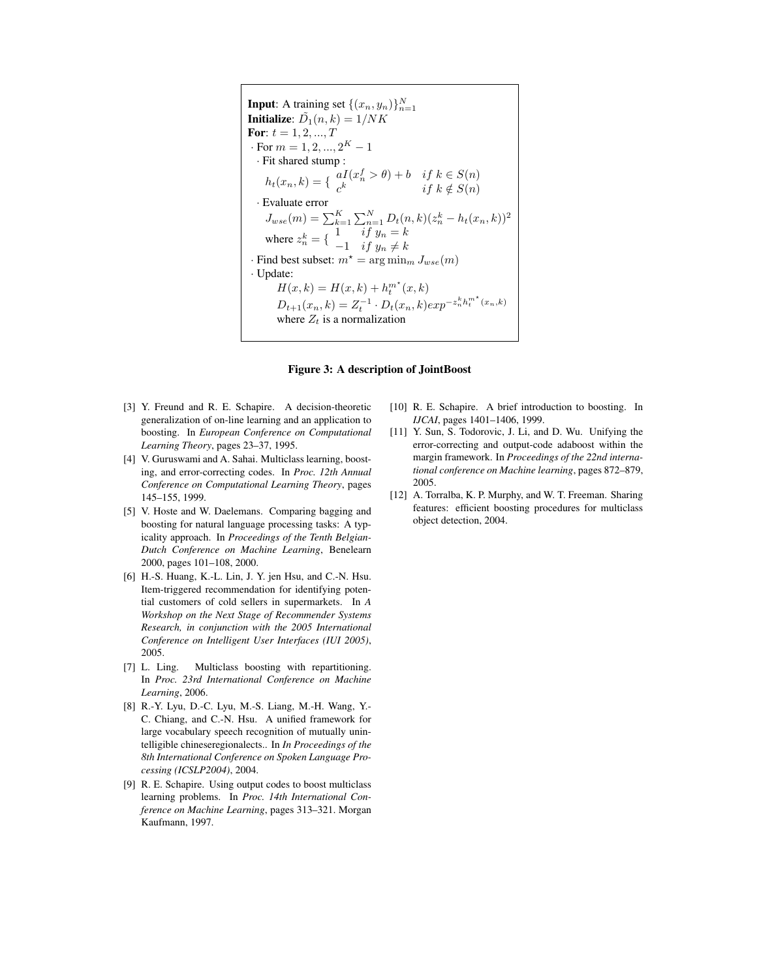**Input:** A training set  $\{(x_n, y_n)\}_{n=1}^N$ <br>**Initialize:**  $\tilde{D}_n(x, y_n) = 1/NK$ **Initialize:**  $\tilde{D}_1(n, k) = 1/NK$ <br>**For:**  $t = 1, 2, ..., T$ For:  $t = 1, 2, ..., T$ <br>For  $m = 1, 2$ · For  $m = 1, 2, ..., 2^K - 1$ <br>· Fit shared stump : · Fit shared stump :  $h_t(x_n, k) = \begin{cases} aI(x_n^f > \theta) + b & \text{if } k \in S(n) \\ c^k & \text{if } k \notin S(n) \end{cases}$  $c^k$  if  $k \notin S(n)$ · Evaluate error  $J_{wse}(m) = \sum_{k=1}^{K} \sum_{n=1}^{N} D_t(n,k) (z_n^k - h_t(x_n, k))^2$ where  $z_n^k = \begin{cases} 1 & \text{if } y_n = k \\ -1 & \text{if } y_n \neq k \end{cases}$ · Find best subset:  $m^* = \arg \min_m J_{wse}(m)$ · Update:  $H(x, k) = H(x, k) + h_t^{m^*}$  $D_{t+1}(x, k) = H(x, k) + h_t(x, k)$ <br>  $D_{t+1}(x_n, k) = Z_t^{-1} \cdot D_t(x_n, k) exp^{-z_n^k h_t^{m^k}(x_n, k)}$ <br>
where Z, is a normalization where  $Z_t$  is a normalization

#### Figure 3: A description of JointBoost

- [3] Y. Freund and R. E. Schapire. A decision-theoretic generalization of on-line learning and an application to boosting. In *European Conference on Computational Learning Theory*, pages 23–37, 1995.
- [4] V. Guruswami and A. Sahai. Multiclass learning, boosting, and error-correcting codes. In *Proc. 12th Annual Conference on Computational Learning Theory*, pages 145–155, 1999.
- [5] V. Hoste and W. Daelemans. Comparing bagging and boosting for natural language processing tasks: A typicality approach. In *Proceedings of the Tenth Belgian-Dutch Conference on Machine Learning*, Benelearn 2000, pages 101–108, 2000.
- [6] H.-S. Huang, K.-L. Lin, J. Y. jen Hsu, and C.-N. Hsu. Item-triggered recommendation for identifying potential customers of cold sellers in supermarkets. In *A Workshop on the Next Stage of Recommender Systems Research, in conjunction with the 2005 International Conference on Intelligent User Interfaces (IUI 2005)*, 2005.
- [7] L. Ling. Multiclass boosting with repartitioning. In *Proc. 23rd International Conference on Machine Learning*, 2006.
- [8] R.-Y. Lyu, D.-C. Lyu, M.-S. Liang, M.-H. Wang, Y.- C. Chiang, and C.-N. Hsu. A unified framework for large vocabulary speech recognition of mutually unintelligible chineseregionalects.. In *In Proceedings of the 8th International Conference on Spoken Language Processing (ICSLP2004)*, 2004.
- [9] R. E. Schapire. Using output codes to boost multiclass learning problems. In *Proc. 14th International Conference on Machine Learning*, pages 313–321. Morgan Kaufmann, 1997.
- [10] R. E. Schapire. A brief introduction to boosting. In *IJCAI*, pages 1401–1406, 1999.
- [11] Y. Sun, S. Todorovic, J. Li, and D. Wu. Unifying the error-correcting and output-code adaboost within the margin framework. In *Proceedings of the 22nd international conference on Machine learning*, pages 872–879, 2005.
- [12] A. Torralba, K. P. Murphy, and W. T. Freeman. Sharing features: efficient boosting procedures for multiclass object detection, 2004.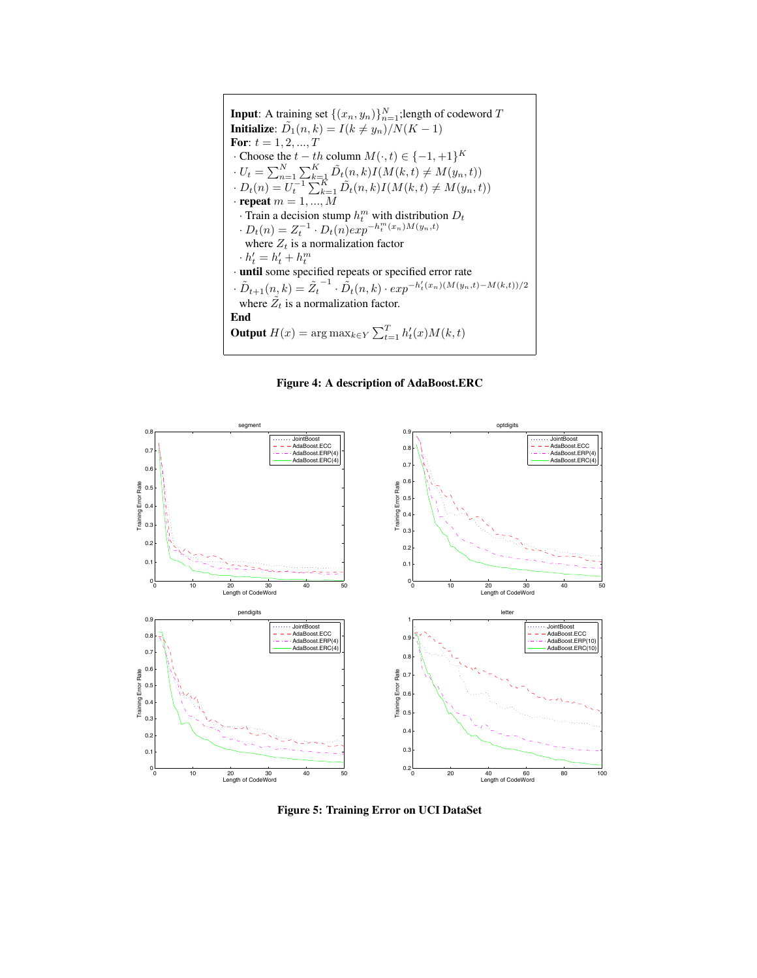**Input:** A training set  $\{(x_n, y_n)\}_{n=1}^N$ ; length of codeword  $T$ <br>**Initialize:**  $\tilde{D}_n(x, k) = I(k \neq u_1)/N(K-1)$ **Initialize:**  $D_1(n, k) = I(k \neq y_n)/N(K - 1)$ <br>For:  $t = 1, 2, ..., T$ For:  $t = 1, 2, ..., T$ <br>Choose the  $t - t$ · Choose the  $t - th$  column  $M(\cdot, t) \in \{-1, +1\}^K$ <br> $H = \sum_{k=0}^{N} \sum_{k=0}^{K} f(k) I(M(k, t) + M(\cdot))$  $\cdot U_t = \sum_{n=1}^{N} \sum_{k=1}^{K} \tilde{D}_t(n, k) I(M(k, t) \neq M(y_n, t))$  $\cdot D_t(n) = U_t^{-1} \sum_{k=1}^K \tilde{D}_t(n,k) I(M(k,t) \neq M(y_n,t))$ · **repeat**  $m = 1, ..., M$ <br>· Train a decision stu · Train a decision stump  $h_t^m$  with distribution  $D_t$ <br>  $D_t(n) = Z^{-1}$ ,  $D_t(n)$  exp $h_t^m(x_n)M(y_n,t)$  $\cdot D_t(n) = Z_t^{-1} \cdot D_t(n) exp^{-h_t^m(x_n)M(y_n,t)}$ <br>where Z, is a normalization factor where  $Z_t$  is a normalization factor<br> $b' = b' + b^m$  $\cdot h'_t = h'_t + h_t^m$ <br>**· until** some specified repeats or specified error rate  $t_t + h_t^m$ <br>ne spec  $\cdot \tilde{D}_{t+1}(n, k) = \tilde{Z}_t^{-1} \cdot \tilde{D}_t(n, k) \cdot exp^{-h'_t(x_n)(M(y_n, t) - M(k, t))/2}$ <br>where  $\tilde{Z}$  is a pormulization factor where  $Z_t$  is a normalization factor. End **Output**  $H(x) = \arg \max_{k \in Y} \sum_{t=1}^{T} h_t'(x) M(k, t)$ 

Figure 4: A description of AdaBoost.ERC



Figure 5: Training Error on UCI DataSet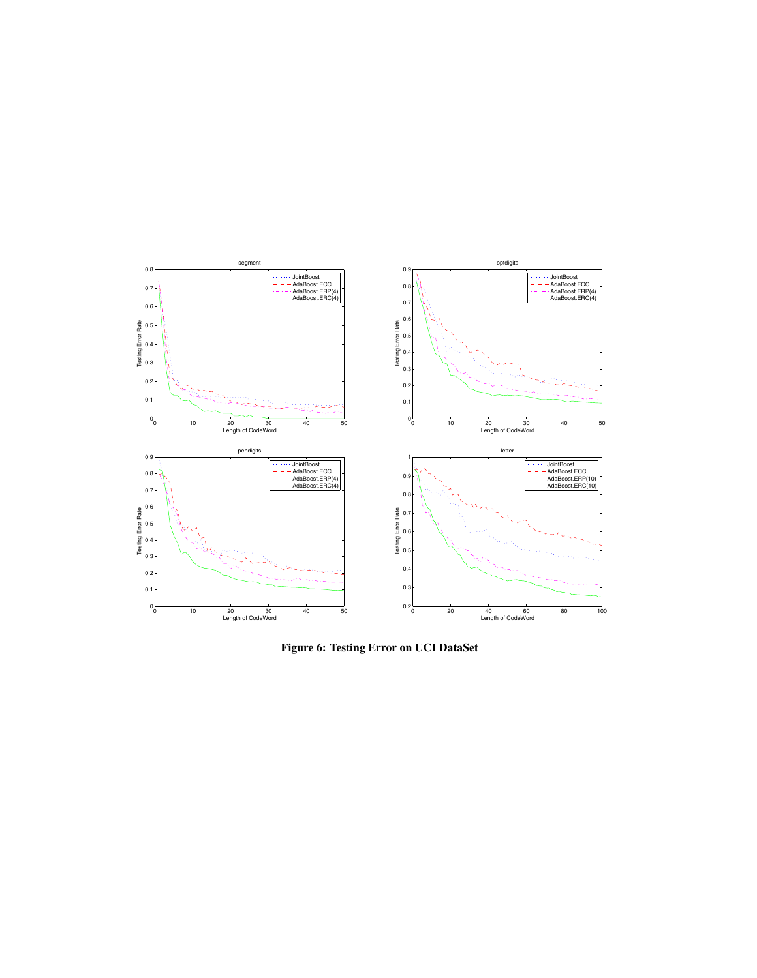

Figure 6: Testing Error on UCI DataSet